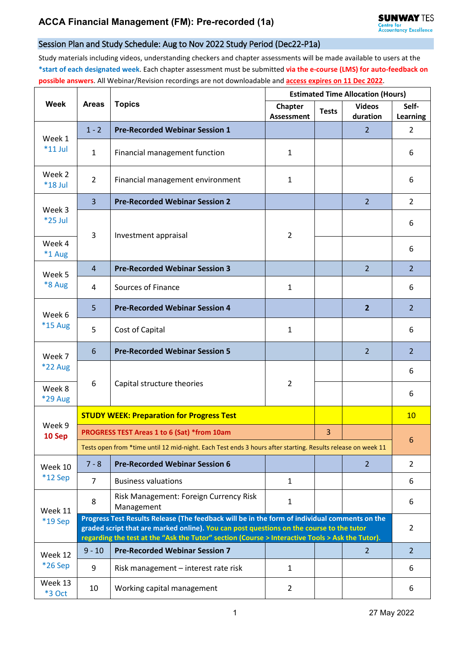# **ACCA Financial Management (FM): Pre-recorded (1a)**

### Session Plan and Study Schedule: Aug to Nov 2022 Study Period (Dec22-P1a)

Study materials including videos, understanding checkers and chapter assessments will be made available to users at the **\*start of each designated week**. Each chapter assessment must be submitted **via the e-course (LMS) for auto-feedback on possible answers**. All Webinar/Revision recordings are not downloadable and **access expires on 11 Dec 2022**.

| <b>Week</b>                              | <b>Areas</b>                                                                                                                                                                              | <b>Topics</b>                                        | <b>Estimated Time Allocation (Hours)</b> |              |                           |                          |  |  |
|------------------------------------------|-------------------------------------------------------------------------------------------------------------------------------------------------------------------------------------------|------------------------------------------------------|------------------------------------------|--------------|---------------------------|--------------------------|--|--|
|                                          |                                                                                                                                                                                           |                                                      | Chapter<br>Assessment                    | <b>Tests</b> | <b>Videos</b><br>duration | Self-<br><b>Learning</b> |  |  |
| Week 1<br>$*11$ Jul                      | $1 - 2$                                                                                                                                                                                   | <b>Pre-Recorded Webinar Session 1</b>                |                                          |              | $\overline{2}$            | $\overline{2}$           |  |  |
|                                          | 1                                                                                                                                                                                         | Financial management function                        | 1                                        |              |                           | 6                        |  |  |
| Week 2<br>*18 Jul                        | $\overline{2}$                                                                                                                                                                            | Financial management environment                     | $\mathbf{1}$                             |              |                           | 6                        |  |  |
| Week 3<br>*25 Jul                        | $\overline{3}$                                                                                                                                                                            | <b>Pre-Recorded Webinar Session 2</b>                |                                          |              | $\overline{2}$            | $\overline{2}$           |  |  |
|                                          | 3                                                                                                                                                                                         | Investment appraisal                                 | $\overline{2}$                           |              |                           | 6                        |  |  |
| Week 4<br>*1 Aug                         |                                                                                                                                                                                           |                                                      |                                          |              |                           | 6                        |  |  |
| Week 5<br>*8 Aug                         | $\overline{4}$                                                                                                                                                                            | <b>Pre-Recorded Webinar Session 3</b>                |                                          |              | $\overline{2}$            | $\overline{2}$           |  |  |
|                                          | 4                                                                                                                                                                                         | Sources of Finance                                   | $\mathbf{1}$                             |              |                           | 6                        |  |  |
| Week 6<br>*15 Aug                        | 5                                                                                                                                                                                         | <b>Pre-Recorded Webinar Session 4</b>                |                                          |              | $\overline{2}$            | $\overline{2}$           |  |  |
|                                          | 5                                                                                                                                                                                         | Cost of Capital                                      | 1                                        |              |                           | 6                        |  |  |
| Week 7<br><b>*22 Aug</b>                 | 6                                                                                                                                                                                         | <b>Pre-Recorded Webinar Session 5</b>                |                                          |              | 2                         | $\overline{2}$           |  |  |
|                                          |                                                                                                                                                                                           |                                                      |                                          |              |                           | 6                        |  |  |
| Week 8<br>*29 Aug                        | 6                                                                                                                                                                                         | Capital structure theories                           | $\overline{2}$                           |              |                           | 6                        |  |  |
| Week 9<br>10 Sep                         | <b>STUDY WEEK: Preparation for Progress Test</b>                                                                                                                                          |                                                      |                                          |              |                           |                          |  |  |
|                                          | PROGRESS TEST Areas 1 to 6 (Sat) *from 10am                                                                                                                                               |                                                      | $6\phantom{1}6$                          |              |                           |                          |  |  |
|                                          | Tests open from *time until 12 mid-night. Each Test ends 3 hours after starting. Results release on week 11                                                                               |                                                      |                                          |              |                           |                          |  |  |
| Week 10<br>*12 Sep                       | $7 - 8$                                                                                                                                                                                   | <b>Pre-Recorded Webinar Session 6</b>                |                                          |              | $\overline{2}$            | 2                        |  |  |
|                                          | $\overline{7}$                                                                                                                                                                            | <b>Business valuations</b>                           | $\mathbf{1}$                             |              |                           | 6                        |  |  |
| Week 11<br>*19 Sep<br>Week 12<br>*26 Sep | 8                                                                                                                                                                                         | Risk Management: Foreign Currency Risk<br>Management | $\mathbf{1}$                             |              |                           | 6                        |  |  |
|                                          | Progress Test Results Release (The feedback will be in the form of individual comments on the<br>graded script that are marked online). You can post questions on the course to the tutor |                                                      |                                          |              |                           |                          |  |  |
|                                          | regarding the test at the "Ask the Tutor" section (Course > Interactive Tools > Ask the Tutor).                                                                                           |                                                      |                                          |              |                           |                          |  |  |
|                                          | $9 - 10$                                                                                                                                                                                  | <b>Pre-Recorded Webinar Session 7</b>                |                                          |              | $\overline{2}$            | $\overline{2}$           |  |  |
|                                          | 9                                                                                                                                                                                         | Risk management - interest rate risk                 | $\mathbf{1}$                             |              |                           | 6                        |  |  |
| Week 13<br>*3 Oct                        | 10                                                                                                                                                                                        | Working capital management                           | $\overline{2}$                           |              |                           | 6                        |  |  |